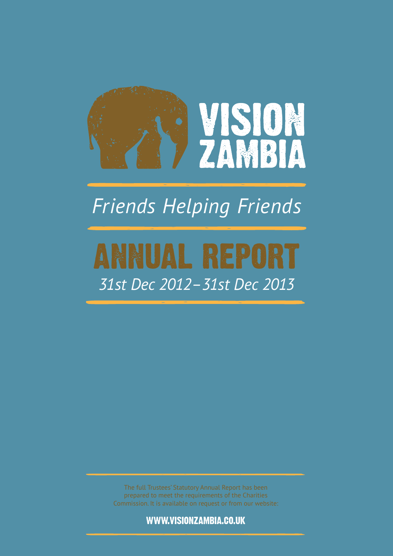

# *Friends Helping Friends*

# ANNUAL REPORT *31st Dec 2012–31st Dec 2013*

The full Trustees' Statutory Annual Report has been prepared to meet the requirements of the Charities Commission. It is available on request or from our website:

www.visionzambia.co.uk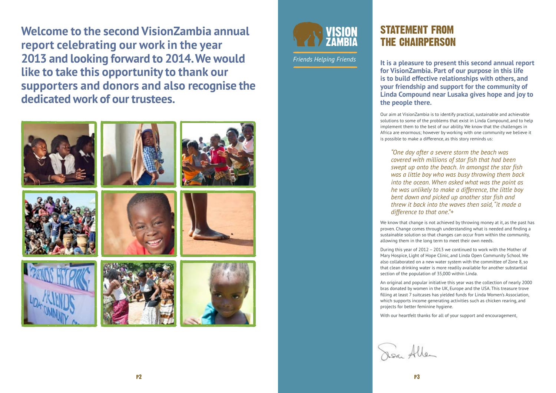**Welcome to the second VisionZambia annual report celebrating our work in the year 2013 and looking forward to 2014. We would like to take this opportunity to thank our supporters and donors and also recognise the dedicated work of our trustees.** 





### STATEMENT FROM THE CHAIRPERSON

**It is a pleasure to present this second annual report for VisionZambia. Part of our purpose in this life is to build effective relationships with others, and your friendship and support for the community of Linda Compound near Lusaka gives hope and joy to the people there.** 

Our aim at VisionZambia is to identify practical, sustainable and achievable solutions to some of the problems that exist in Linda Compound, and to help implement them to the best of our ability. We know that the challenges in Africa are enormous; however by working with one community we believe it is possible to make a difference, as this story reminds us:

*"One day after a severe storm the beach was covered with millions of star fish that had been swept up onto the beach. In amongst the star fish was a little boy who was busy throwing them back into the ocean. When asked what was the point as he was unlikely to make a difference, the little boy bent down and picked up another star fish and threw it back into the waves then said, "it made a difference to that one."+*

We know that change is not achieved by throwing money at it, as the past has proven. Change comes through understanding what is needed and finding a sustainable solution so that changes can occur from within the community, allowing them in the long term to meet their own needs.

During this year of 2012 – 2013 we continued to work with the Mother of Mary Hospice, Light of Hope Clinic, and Linda Open Community School. We also collaborated on a new water system with the committee of Zone 8, so that clean drinking water is more readily available for another substantial section of the population of 35,000 within Linda.

An original and popular initiative this year was the collection of nearly 2000 bras donated by women in the UK, Europe and the USA. This treasure trove filling at least 7 suitcases has yielded funds for Linda Women's Association, which supports income generating activities such as chicken rearing, and projects for better feminine hygiene.

With our heartfelt thanks for all of your support and encouragement,

Dear Allen

*Friends Helping Friends*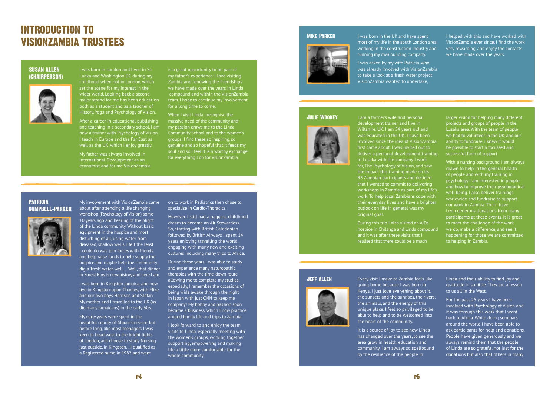I was born in London and lived in Sri

Lanka and Washington DC during my childhood when not in London, which set the scene for my interest in the wider world. Looking back a second major strand for me has been education both as a student and as a teacher of History, Yoga and Psychology of Vision.

After a career in educational publishing and teaching in a secondary school, I am now a trainer with Psychology of Vision. I teach in Europe and the Far East as well as the UK, which I enjoy greatly.

My father was always involved in International Development as an economist and for me VisionZambia is a great opportunity to be part of my father's experience. I love visiting Zambia and renewing the friendships we have made over the years in Linda compound and within the VisionZambia team. I hope to continue my involvement for a long time to come.

When I visit Linda I recognise the massive need of the community and my passion draws me to the Linda Community School and to the women's groups; I find these so inspiring, so genuine and so hopeful that it feeds my soul and so I feel it is a worthy exchange for everything I do for VisionZambia.

### Introduction to VisionZambia trustees

#### Susan Allen (Chairperson)



My involvement with VisionZambia came

about after attending a life changing workshop (Psychology of Vision) some 10 years ago and hearing of the plight of the Linda community. Without basic equipment in the hospice and most disturbing of all, using water from diseased, shallow wells. I felt the least I could do was join forces with friends and help raise funds to help supply the hospice and maybe help the community dig a 'fresh' water well…. Well, that dinner in Forest Row is now history and here I am.

I was born in Kingston Jamaica, and now live in Kingston-upon-Thames, with Mike and our two boys Harrison and Stefan. My mother and I travelled to the UK (as did many Jamaicans) in the early 60's.

My early years were spent in the beautiful county of Gloucestershire, but before long, like most teenagers I was keen to head west to the bright lights of London, and choose to study Nursing just outside, in Kingston… I qualified as a Registered nurse in 1982 and went

on to work in Pediatrics then chose to specialise in Cardio-Thoracics.

However, I still had a nagging childhood dream to become an Air Stewardess. So, starting with British Caledonian followed by British Airways I spent 14 years enjoying travelling the world, engaging with many new and exciting cultures including many trips to Africa.

During these years I was able to study and experience many naturopathic therapies with the time 'down route' allowing me to complete my studies, especially, I remember the occasions of being wide awake through the night in Japan with just CNN to keep me company! My hobby and passion soon became a business, which I now practice around family life and trips to Zambia.

I look forward to and enjoy the team visits to Linda, especially meeting with the women's groups, working together supporting, empowering and making life a little more comfortable for the whole community.

#### Patricia Campbell–Parker



I was born in the UK and have spent most of my life in the south London area working in the construction industry and running my own building company.

I was asked by my wife Patricia, who was already involved with VisionZambia to take a look at a fresh water project VisionZambia wanted to undertake,

I helped with this and have worked with VisionZambia ever since. I find the work very rewarding, and enjoy the contacts we have made over the years.

I am a farmer's wife and personal development trainer and live in Wiltshire, UK. I am 54 years old and was educated in the UK. I have been involved since the idea of VisionZambia first came about. I was invited out to deliver a personal development training in Lusaka with the company I work for, The Psychology of Vision, and saw the impact this training made on its 93 Zambian participants and decided that I wanted to commit to delivering workshops in Zambia as part of my life's work. To help local Zambians cope with their everyday lives and have a brighter outlook on life in general was my original goal.

During this trip I also visited an AIDs hospice in Chilanga and Linda compound and it was after these visits that I realised that there could be a much

larger vision for helping many different projects and groups of people in the Lusaka area. With the team of people we had to volunteer in the UK, and our ability to fundraise, I knew it would be possible to start a focussed and successful form of support.

With a nursing background I am always drawn to help in the general health of people and with my training in psychology I am interested in people and how to improve their psychological well being. I also deliver trainings worldwide and fundraise to support our work in Zambia. There have been generous donations from many participants at these events. It is great to meet the challenge of the work we do, make a difference, and see it happening for those we are committed to helping in Zambia.

#### Mike Parker



#### Julie Wookey



Every visit I make to Zambia feels like going home because I was born in Kenya. I just love everything about it, the sunsets and the sunrises, the rivers, the animals, and the energy of this unique place. I feel so privileged to be able to help and to be welcomed into the heart of the community.

It is a source of joy to see how Linda has changed over the years, to see the area grow in health, education and community. I am always so spellbound by the resilience of the people in

Linda and their ability to find joy and gratitude in so little. They are a lesson to us all in the West.

For the past 25 years I have been involved with Psychology of Vision and it was through this work that I went back to Africa. While doing seminars around the world I have been able to ask participants for help and donations. People have given generously and we always remind them that the people of Linda are so grateful not just for the donations but also that others in many

#### Jeff Allen

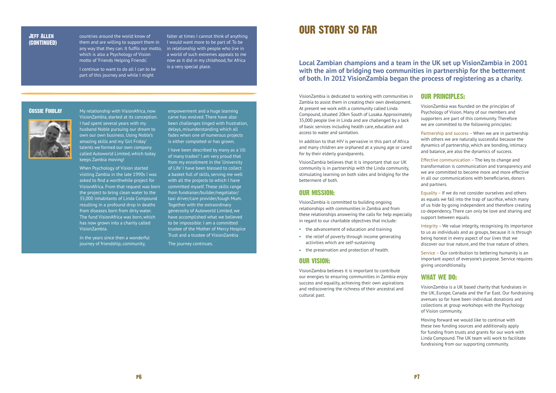My relationship with VisionAfrica, now VisionZambia, started at its conception. I had spent several years with my husband Noble pursuing our dream to own our own business. Using Noble's amazing skills and my 'Girl Friday' talents we formed our own company called Autoworld Limited, which today keeps Zambia moving!

When Psychology of Vision started visiting Zambia in the late 1990s I was asked to find a worthwhile project for VisionAfrica. From that request was born the project to bring clean water to the 35,000 inhabitants of Linda Compound resulting in a profound drop in deaths from diseases born from dirty water. The fund VisionAfrica was born, which has now grown into a charity called VisionZambia.

In the years since then a wonderful journey of friendship, community,

empowerment and a huge learning carve has evolved. There have also been challenges tinged with frustration, delays, misunderstanding which all fades when one of numerous projects is either completed or has grown.

I have been described by many as a 'Jill of many trades!' I am very proud that from my enrollment in the 'University of Life' I have been blessed to collect a basket full of skills, serving me well with all the projects to which I have committed myself. These skills range from fundraiser/builder/negotiator/ taxi driver/care provider/tough Mum. Together with the extraordinary generosity of Autoworld Limited, we have accomplished what we believed to be impossible. I am a committed trustee of the Mother of Mercy Hospice Trust and a trustee of VisionZambia

The journey continues.

#### Cossie Findlay



countries around the world know of them and are willing to support them in I would want more to be part of. To be any way that they can. It fulfils our motto, in relationship with people who live in which is also a Psychology of Vision motto of 'Friends Helping Friends'.

I continue to want to do all I can to be part of this journey and while I might

falter at times I cannot think of anything a world of such extremes appeals to me now as it did in my childhood, for Africa is a very special place.

#### Jeff Allen (CONTINUED)

#### **Local Zambian champions and a team in the UK set up VisionZambia in 2001 with the aim of bridging two communities in partnership for the betterment of both. In 2012 VisionZambia began the process of registering as a charity.**

### Our Story so Far

#### Our Principles:

- the advancement of education and training
- the relief of poverty through income generating activities which are self-sustaining
- the preservation and protection of health.
- VisionZambia was founded on the principles of Psychology of Vision. Many of our members and supporters are part of this community. Therefore we are committed to the following principles:
- Partnership and success When we are in partnership with others we are naturally successful because the dynamics of partnership, which are bonding, intimacy and balance, are also the dynamics of success.
- Effective communication The key to change and transformation is communication and transparency and we are committed to become more and more effective in all our communications with beneficiaries, donors and partners.
- Equality If we do not consider ourselves and others as equals we fall into the trap of sacrifice, which many of us hide by going independent and therefore creating co-dependency. There can only be love and sharing and support between equals.
- Integrity We value integrity, recognising its importance to us as individuals and as groups, because it is through being honest in every aspect of our lives that we discover our true nature, and the true nature of others.
- Service Our contribution to bettering humanity is an important aspect of everyone's purpose. Service requires giving unconditionally.

#### What we do:

- VisionZambia is a UK based charity that fundraises in the UK, Europe, Canada and the Far East. Our fundraising avenues so far have been individual donations and collections at group workshops with the Psychology of Vision community.
- Moving forward we would like to continue with these two funding sources and additionally apply for funding from trusts and grants for our work with Linda Compound. The UK team will work to facilitate fundraising from our supporting community.

VisionZambia is dedicated to working with communities in Zambia to assist them in creating their own development. At present we work with a community called Linda Compound, situated 20km South of Lusaka. Approximately 35,000 people live in Linda and are challenged by a lack of basic services including health care, education and access to water and sanitation.

In addition to that HIV is pervasive in this part of Africa and many children are orphaned at a young age or cared for by their elderly grandparents.

VisionZambia believes that it is important that our UK community is in partnership with the Linda community, stimulating learning on both sides and bridging for the betterment of both.

#### Our Mission:

VisionZambia is committed to building ongoing relationships with communities in Zambia and from these relationships answering the calls for help especially in regard to our charitable objectives that include:

#### Our Vision:

VisionZambia believes it is important to contribute our energies to ensuring communities in Zambia enjoy success and equality, achieving their own aspirations and rediscovering the richness of their ancestral and cultural past.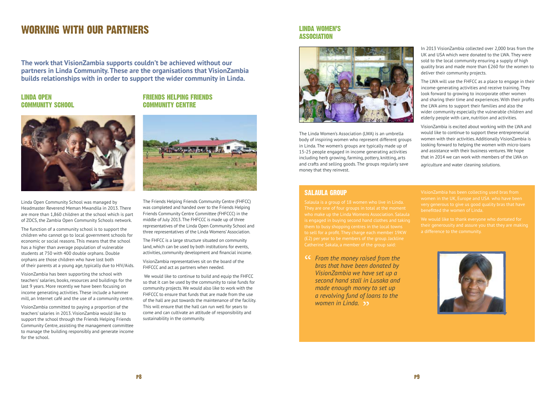**The work that VisionZambia supports couldn't be achieved without our partners in Linda Community. These are the organisations that VisionZambia builds relationships with in order to support the wider community in Linda.** 

### Working with our partners

#### Friends Helping Friends Community Centre



The Friends Helping Friends Community Centre (FHFCC) was completed and handed over to the Friends Helping Friends Community Centre Committee (FHFCCC) in the middle of July 2013. The FHFCCC is made up of three representatives of the Linda Open Community School and three representatives of the Linda Womens' Association.

The FHFCC is a large structure situated on community land, which can be used by both institutions for events, activities, community development and financial income.

VisionZambia representatives sit on the board of the FHFCCC and act as partners when needed.

 We would like to continue to build and equip the FHFCC so that it can be used by the community to raise funds for community projects. We would also like to work with the FHFCCC to ensure that funds that are made from the use of the hall are put towards the maintenance of the facility. This will ensure that the hall can run well for years to come and can cultivate an attitude of responsibility and sustainability in the community.

#### Linda Women's **ASSOCIATION**



#### Linda Open Community School



Linda Open Community School was managed by Headmaster Reverend Meman Mwandila in 2013. There are more than 1,860 children at the school which is part of ZOCS, the Zambia Open Community Schools network.

The function of a community school is to support the children who cannot go to local government schools for economic or social reasons. This means that the school has a higher than average population of vulnerable students at 750 with 400 double orphans. Double orphans are those children who have lost both of their parents at a young age, typically due to HIV/Aids.

VisionZambia has been supporting the school with teachers' salaries, books, resources and buildings for the last 9 years. More recently we have been focusing on income generating activities. These include a hammer mill, an Internet café and the use of a community centre.

VisionZambia committed to paying a proportion of the teachers' salaries in 2013. VisionZambia would like to support the school through the Friends Helping Friends Community Centre, assisting the management committee to manage the building responsibly and generate income for the school.

The Linda Women's Association (LWA) is an umbrella body of inspiring women who represent different groups in Linda. The women's groups are typically made up of 15-25 people engaged in income generating activities including herb growing, farming, pottery, knitting, arts and crafts and selling goods. The groups regularly save money that they reinvest.

#### Salaula group

Salaula is a group of 18 women who live in Linda. They are one of four groups in total at the moment who make up the Linda Womens Association. Salaula to sell for a profit. They charge each member 19KW Catherine Sakala, a member of the group said:

*From the money raised from the bras that have been donated by*<br>Visian Zambia we have not we a *bras that have been donated by VisionZambia we have set up a second hand stall in Lusaka and made enough money to set up a revolving fund of loans to the*  women in Linda. **>>**<br>"

VisionZambia has been collecting used bras from women in the UK, Europe and USA who have been benefitted the women of Linda.



In 2013 VisionZambia collected over 2,000 bras from the UK and USA which were donated to the LWA. They were sold to the local community ensuring a supply of high quality bras and made more than £260 for the women to deliver their community projects.

The LWA will use the FHFCC as a place to engage in their income-generating activities and receive training. They look forward to growing to incorporate other women and sharing their time and experiences. With their profits the LWA aims to support their families and also the wider community especially the vulnerable children and elderly people with care, nutrition and activities.

VisionZambia is excited about working with the LWA and would like to continue to support these entrepreneurial women with their activities. Additionally VisionZambia is looking forward to helping the women with micro-loans and assistance with their business ventures. We hope that in 2014 we can work with members of the LWA on agriculture and water cleaning solutions.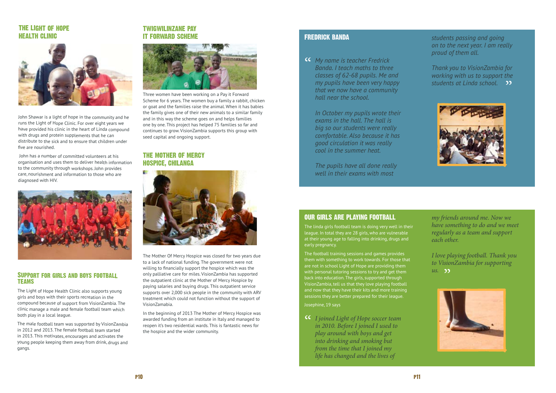#### The Light of Hope Health Clinic



John Shawar is a light of hope in the community and he runs the Light of Hope Clinic. For over eight years we have provided his clinic in the heart of Linda compound with drugs and protein supplements that he can distribute to the sick and to ensure that children under five are nourished.

 John has a number of committed volunteers at his organisation and uses them to deliver health information to the community through workshops. John provides care, nourishment and information to those who are diagnosed with HIV.



#### Support for girls and boys football teams

The Light of Hope Health Clinic also supports young girls and boys with their sports recreation in the compound because of support from VisionZambia. The clinic manage a male and female football team which both play in a local league.

The male football team was supported by VisionZambia in 2012 and 2013. The female football team started in 2013. This motivates, encourages and activates the young people keeping them away from drink, drugs and gangs.

#### Twigwilinzane Pay it Forward scheme



Three women have been working on a Pay it Forward Scheme for 6 years. The women buy a family a rabbit, chicken or goat and the families raise the animal. When it has babies the family gives one of their new animals to a similar family and in this way the scheme goes on and helps families one by one. This project has helped 75 families so far and continues to grow. VisionZambia supports this group with seed capital and ongoing support.

#### The Mother of Mercy Hospice, Chilanga

*I joined Light of Hope soccer team*<br> *in 2010. Before I joined I used to in 2010. Before I joined I used to play around with boys and get into drinking and smoking but from the time that I joined my life has changed and the lives of* 



*I love playing football. Thank you to VisionZambia for supporting*  us. **" ??** 



**CC** My name is teacher Fredrick<br>Banda. I teach maths to three *Banda. I teach maths to three classes of 62-68 pupils. Me and my pupils have been very happy that we now have a community hall near the school.* 

The Mother Of Mercy Hospice was closed for two years due to a lack of national funding. The government were not willing to financially support the hospice which was the only palliative care for miles. VisionZambia has supported the outpatient clinic at the Mother of Mercy Hospice by paying salaries and buying drugs. This outpatient service supports over 2,000 sick people in the community with ARV treatment which could not function without the support of VisionZamabia.

*Thank you to VisionZambia for working with us to support the*  students at Linda school. 22



In the beginning of 2013 The Mother of Mercy Hospice was awarded funding from an institute in Italy and managed to reopen it's two residential wards. This is fantastic news for the hospice and the wider community.

#### our girls are playing football

The linda girls football team is doing very well in their league. In total they are 28 girls, who are vulnerable at their young age to falling into drinking, drugs and early pregnancy.

The football training sessions and games provides them with something to work towards. For those that are not in school Light of Hope are providing them with personal tutoring sessions to try and get them back into education. The girls, supported through VisionZambia, tell us that they love playing football and now that they have their kits and more training sessions they are better prepared for their league.

Josephine, 19 says

*my friends around me. Now we have something to do and we meet regularly as a team and support each other.* 

#### Fredrick Banda

*In October my pupils wrote their exams in the hall. The hall is big so our students were really comfortable. Also because it has good circulation it was really cool in the summer heat.* 

*The pupils have all done really well in their exams with most* 

*students passing and going on to the next year. I am really proud of them all.*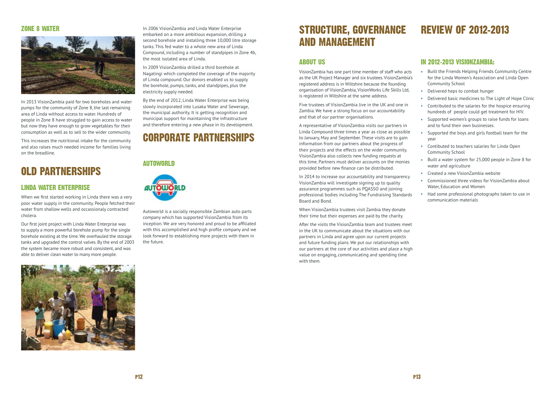### Old partnerships

### Corporate partnerships

### Structure, governance and management

#### About us

VisionZambia has one part time member of staff who acts as the UK Project Manager and six trustees. VisionZambia's registered address is in Wiltshire because the founding organisation of VisionZambia, VisionWorks Life Skills Ltd, is registered in Wiltshire at the same address.

Five trustees of VisionZambia live in the UK and one in Zambia. We have a strong focus on our accountability and that of our partner organisations.

A representative of VisionZambia visits our partners in Linda Compound three times a year as close as possible to January, May and September. These visits are to gain information from our partners about the progress of their projects and the effects on the wider community. VisionZambia also collects new funding requests at this time. Partners must deliver accounts on the monies provided before new finance can be distributed.

In 2014 to increase our accountability and transparency VisionZambia will investigate signing up to quality assurance programmes such as PQASSO and joining professional bodies including The Fundraising Standards Board and Bond.

When VisionZambia trustees visit Zambia they donate their time but their expenses are paid by the charity.

After the visits the VisionZambia team and trustees meet in the UK to communicate about the situations with our partners in Linda and agree upon our current projects and future funding plans. We put our relationships with our partners at the core of our activities and place a high value on engaging, communicating and spending time with them.

#### In 2012–2013 VisionZambia:

- Built the Friends Helping Friends Community Centre for the Linda Women's Association and Linda Open Community School
- Delivered heps to combat hunger
- Delivered basic medicines to The Light of Hope Clinic
- Contributed to the salaries for the hospice ensuring hundreds of people could get treatment for HIV.
- Supported women's groups to raise funds for loans and to fund their own businesses.
- Supported the boys and girls football team for the year
- Contibuted to teachers salaries for Linda Open Community School
- Built a water system for 25,000 people in Zone 8 for water and agriculture
- Created a new VisionZambia website
- Commissioned three videos for VisionZambia about Water, Education and Women
- Had some professional photographs taken to use in communication materials

## Review of 2012-2013

#### Linda Water Enterprise

When we first started working in Linda there was a very poor water supply in the community. People fetched their water from shallow wells and occassionaly contracted cholera.

Our first joint project with Linda Water Enterprise was to supply a more powerful borehole pump for the single borehole existing at the time. We overhauled the storage tanks and upgraded the control valves. By the end of 2003 the system became more robust and consistent, and was able to deliver clean water to many more people.



In 2006 VisionZambia and Linda Water Enterprise embarked on a more ambitious expansion, drilling a second borehole and installing three 10,000 litre storage tanks. This fed water to a whole new area of Linda Compound, including a number of standpipes in Zone 4b, the most isolated area of Linda.

In 2009 VisionZambia drilled a third borehole at Nagatingi which completed the coverage of the majority of Linda compound. Our donors enabled us to supply the borehole, pumps, tanks, and standpipes, plus the electricity supply needed.

By the end of 2012, Linda Water Enterprise was being slowly incorporated into Lusaka Water and Sewerage, the municipal authority. It is getting recognition and municipal support for maintaining the infrastructure and therefore entering a new phase in its development.

#### Autoworld



Autoworld is a socially responsible Zambian auto parts company which has supported VisionZambia from its inception. We are very honored and proud to be affiliated with this accomplished and high profile company and we look forward to establishing more projects with them in the future.

#### Zone 8 water



In 2013 VisionZambia paid for two boreholes and water pumps for the community of Zone 8, the last remaining area of Linda without access to water. Hundreds of people in Zone 8 have struggled to gain access to water but now they have enough to grow vegetables for their consumption as well as to sell to the wider community.

This increases the nutritional intake for the community and also raises much needed income for families living on the breadline.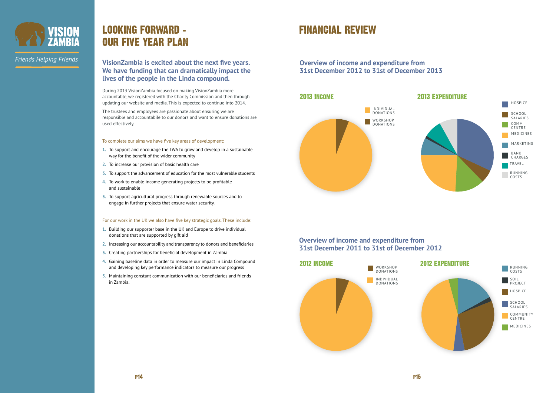#### **VisionZambia is excited about the next five years. We have funding that can dramatically impact the lives of the people in the Linda compound.**

During 2013 VisionZambia focused on making VisionZambia more accountable, we registered with the Charity Commission and then through updating our website and media. This is expected to continue into 2014.

The trustees and employees are passionate about ensuring we are responsible and accountabile to our donors and want to ensure donations are used effectively.

#### To complete our aims we have five key areas of development:

- **1.** To support and encourage the LWA to grow and develop in a sustainable way for the benefit of the wider community
- **2.** To increase our provision of basic health care
- **3.** To support the advancement of education for the most vulnerable students
- **4.** To work to enable income generating projects to be profitable and sustainable
- **5.** To support agricultural progress through renewable sources and to engage in further projects that ensure water security.

### Looking forward – Our five year plan

#### For our work in the UK we also have five key strategic goals. These include:

- **1.** Building our supporter base in the UK and Europe to drive individual donations that are supported by gift aid
- **2.** Increasing our accountability and transparency to donors and beneficiaries
- **3.** Creating partnerships for beneficial development in Zambia
- **4.** Gaining baseline data in order to measure our impact in Linda Compound and developing key performance indicators to measure our progress
- **5.** Maintaining constant communication with our beneficiaries and friends in Zambia.



*Friends Helping Friends* 

### Financial Review

#### **Overview of income and expenditure from 31st December 2011 to 31st of December 2012**





#### **Overview of income and expenditure from 31st December 2012 to 31st of December 2013**



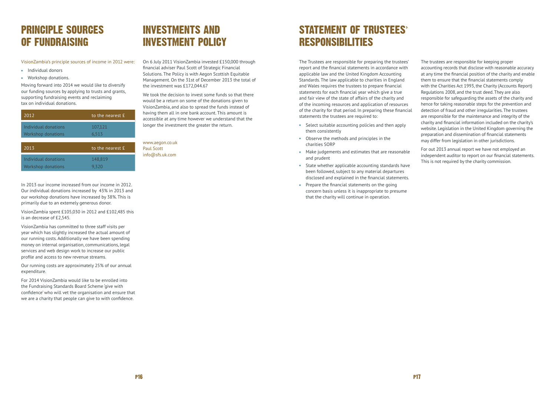### Principle sources of fundraising

VisionZambia's principle sources of income in 2012 were:

- Individual donors
- Workshop donations.

Moving forward into 2014 we would like to diversify our funding sources by applying to trusts and grants, supporting fundraising events and reclaiming tax on individual donations.

| 2012                                              | to the nearest £ |
|---------------------------------------------------|------------------|
| Individual donations<br><b>Workshop donations</b> | 107,121<br>6,513 |
| 2013                                              | to the nearest £ |
| Individual donations                              | 148,819          |

In 2013 our income increased from our income in 2012. Our individual donations increased by 43% in 2013 and our workshop donations have increased by 38%. This is primarily due to an extemely generous donor.

VisionZambia spent £105,030 in 2012 and £102,485 this is an decrease of £2,545.

VisionZambia has committed to three staff visits per year which has slightly increased the actual amount of our running costs. Additionally we have been spending money on internal organisation, communications, legal services and web design work to increase our public profile and access to new revenue streams.

We took the decision to invest some funds so that there would be a return on some of the donations given to VisionZambia, and also to spread the funds instead of having them all in one bank account. This amount is accessible at any time however we understand that the longer the investment the greater the return.

### STATEMENT OF TRUSTEES' responsibilities

Our running costs are approximately 25% of our annual expenditure.

For 2014 VisionZambia would like to be enrolled into the Fundraising Standards Board Scheme 'give with confidence' who will vet the organisation and ensure that we are a charity that people can give to with confidence.

### Investments and investment policy

On 6 July 2011 VisionZambia invested £150,000 through financial adviser Paul Scott of Strategic Financial Solutions. The Policy is with Aegon Scottish Equitable Management. On the 31st of December 2013 the total of the investment was £172,044.67

www.aegon.co.uk Paul Scott info@sfs.uk.com

The Trustees are responsible for preparing the trustees' report and the financial statements in accordance with applicable law and the United Kingdom Accounting Standards. The law applicable to charities in England and Wales requires the trustees to prepare financial statements for each financial year which give a true and fair view of the state of affairs of the charity and of the incoming resources and application of resources of the charity for that period. In preparing these financial statements the trustees are required to:

- Select suitable accounting policies and then apply them consistently
- Observe the methods and principles in the charities SORP
- Make judgements and estimates that are reasonable and prudent
- State whether applicable accounting standards have been followed, subject to any material departures disclosed and explained in the financial statements.
- Prepare the financial statements on the going concern basis unless it is inappropriate to presume that the charity will continue in operation.

The trustees are responsible for keeping proper accounting records that disclose with reasonable accuracy at any time the financial position of the charity and enable them to ensure that the financial statements comply with the Charities Act 1993, the Charity (Accounts Report) Regulations 2008, and the trust deed. They are also responsible for safeguarding the assets of the charity and hence for taking reasonable steps for the prevention and detection of fraud and other irregularities. The trustees are responsible for the maintenance and integrity of the charity and financial information included on the charity's website. Legislation in the United Kingdom governing the preparation and dissemination of financial statements may differ from legislation in other jurisdictions.

For out 2013 annual report we have not employed an independent auditor to report on our financial statements. This is not required by the charity commission.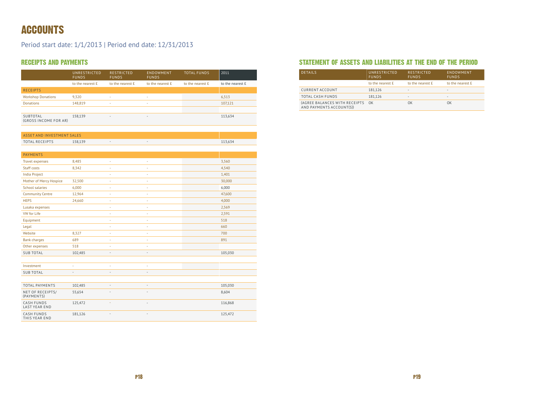### ACCOUNTS

Period start date: 1/1/2013 | Period end date: 12/31/2013

### Receipts and payments

|                                   | UNRESTRICTED<br><b>FUNDS</b> | <b>RESTRICTED</b><br><b>FUNDS</b> | ENDOWMENT<br><b>FUNDS</b> | <b>TOTAL FUNDS</b> | 2011             |
|-----------------------------------|------------------------------|-----------------------------------|---------------------------|--------------------|------------------|
|                                   | to the nearest £             | to the nearest £                  | to the nearest £          | to the nearest £   | to the nearest £ |
| <b>RECEIPTS</b>                   |                              |                                   |                           |                    |                  |
| <b>Workshop Donations</b>         | 9,320                        | <b>.</b>                          | ۰                         |                    | 6,513            |
| <b>Donations</b>                  | 148,819                      | ÷                                 | ٠                         |                    | 107,121          |
|                                   |                              |                                   |                           |                    |                  |
| SUBTOTAL<br>(GROSS INCOME FOR AR) | 158,139                      | $\overline{\phantom{a}}$          | $\overline{\phantom{a}}$  |                    | 113,634          |

| <b>ASSET AND INVESTMENT SALES</b> |         |  |         |
|-----------------------------------|---------|--|---------|
| TOTAL RECEIPTS                    | 158,139 |  | 113,634 |

| <b>PAYMENTS</b>                           |                |                          |                          |         |  |
|-------------------------------------------|----------------|--------------------------|--------------------------|---------|--|
| <b>Travel expenses</b>                    | 8,485          | $\overline{\phantom{a}}$ | ä,                       | 3,560   |  |
| Staff costs                               | 8,342          | ٠                        | à.                       | 4,540   |  |
| <b>India Project</b>                      |                | ٠                        | ä,                       | 1,401   |  |
| Mother of Mercy Hospice                   | 32,500         | ×,                       | ä,                       | 30,000  |  |
| <b>School salaries</b>                    | 6,000          | $\overline{\phantom{a}}$ | ÷                        | 6,000   |  |
| <b>Community Centre</b>                   | 12,964         | ٠                        | ÷                        | 47,600  |  |
| <b>HEPS</b>                               | 24,660         | ÷                        | ÷                        | 4,000   |  |
| Lusaka expenses                           |                | ٠                        | ä,                       | 2,569   |  |
| <b>VW</b> for Life                        |                | ÷,                       | ä,                       | 2,591   |  |
| Equipment                                 |                | ٠                        | i,                       | 518     |  |
| Legal                                     |                | ÷                        | à,                       | 660     |  |
| Website                                   | 8,327          | ÷                        | ä,                       | 700     |  |
| <b>Bank charges</b>                       | 689            | ÷                        | ÷                        | 891     |  |
| Other expenses                            | 518            | ÷,                       | ä,                       |         |  |
| <b>SUB TOTAL</b>                          | 102,485        | $\overline{\phantom{a}}$ | $\bar{ }$                | 105,030 |  |
|                                           |                |                          |                          |         |  |
| Investment                                | ٠              | ٠                        | à,                       |         |  |
| <b>SUB TOTAL</b>                          | $\overline{a}$ | $\sim$                   | $\overline{a}$           |         |  |
|                                           |                |                          |                          |         |  |
| TOTAL PAYMENTS                            | 102,485        | $\sim$                   | ÷,                       | 105,030 |  |
| NET OF RECEIPTS/<br>(PAYMENTS)            | 55,654         | $\overline{\phantom{a}}$ | $\overline{\phantom{m}}$ | 8,604   |  |
| <b>CASH FUNDS</b><br><b>LAST YEAR END</b> | 125,472        |                          | $\overline{\phantom{m}}$ | 116,868 |  |
| <b>CASH FUNDS</b><br>THIS YEAR END        | 181,126        |                          | -                        | 125,472 |  |

#### Statement of assets and liabilities at the end of the period

| <b>DETAILS</b>                                               | UNRESTRICTED<br><b>FUNDS</b> | <b>RESTRICTED</b><br><b>FUNDS</b> | ENDOWMENT<br><b>FUNDS</b> |
|--------------------------------------------------------------|------------------------------|-----------------------------------|---------------------------|
|                                                              | to the nearest £             | to the nearest £                  | to the nearest £          |
| <b>CURRENT ACCOUNT</b>                                       | 181,126                      | $\sim$                            | $\sim$                    |
| <b>TOTAL CASH FUNDS</b>                                      | 181,126                      | $\sim$                            |                           |
| (AGREE BALANCES WITH RECEIPTS OK<br>AND PAYMENTS ACCOUNT(S)) |                              | OK                                | OK                        |